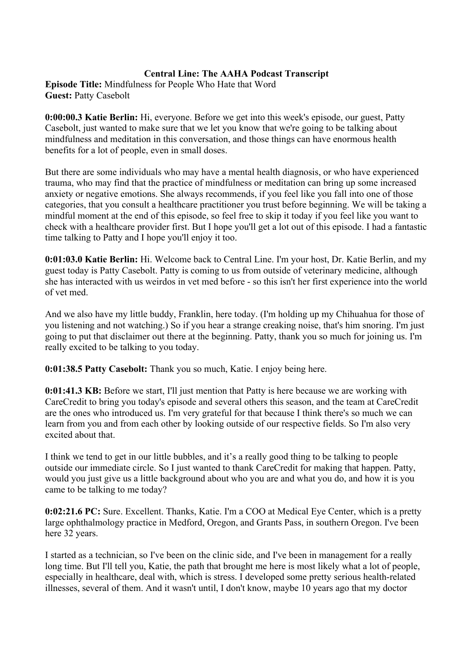# **Central Line: The AAHA Podcast Transcript**

**Episode Title:** Mindfulness for People Who Hate that Word **Guest:** Patty Casebolt

**0:00:00.3 Katie Berlin:** Hi, everyone. Before we get into this week's episode, our guest, Patty Casebolt, just wanted to make sure that we let you know that we're going to be talking about mindfulness and meditation in this conversation, and those things can have enormous health benefits for a lot of people, even in small doses.

But there are some individuals who may have a mental health diagnosis, or who have experienced trauma, who may find that the practice of mindfulness or meditation can bring up some increased anxiety or negative emotions. She always recommends, if you feel like you fall into one of those categories, that you consult a healthcare practitioner you trust before beginning. We will be taking a mindful moment at the end of this episode, so feel free to skip it today if you feel like you want to check with a healthcare provider first. But I hope you'll get a lot out of this episode. I had a fantastic time talking to Patty and I hope you'll enjoy it too.

**0:01:03.0 Katie Berlin:** Hi. Welcome back to Central Line. I'm your host, Dr. Katie Berlin, and my guest today is Patty Casebolt. Patty is coming to us from outside of veterinary medicine, although she has interacted with us weirdos in vet med before - so this isn't her first experience into the world of vet med.

And we also have my little buddy, Franklin, here today. (I'm holding up my Chihuahua for those of you listening and not watching.) So if you hear a strange creaking noise, that's him snoring. I'm just going to put that disclaimer out there at the beginning. Patty, thank you so much for joining us. I'm really excited to be talking to you today.

**0:01:38.5 Patty Casebolt:** Thank you so much, Katie. I enjoy being here.

**0:01:41.3 KB:** Before we start, I'll just mention that Patty is here because we are working with CareCredit to bring you today's episode and several others this season, and the team at CareCredit are the ones who introduced us. I'm very grateful for that because I think there's so much we can learn from you and from each other by looking outside of our respective fields. So I'm also very excited about that.

I think we tend to get in our little bubbles, and it's a really good thing to be talking to people outside our immediate circle. So I just wanted to thank CareCredit for making that happen. Patty, would you just give us a little background about who you are and what you do, and how it is you came to be talking to me today?

**0:02:21.6 PC:** Sure. Excellent. Thanks, Katie. I'm a COO at Medical Eye Center, which is a pretty large ophthalmology practice in Medford, Oregon, and Grants Pass, in southern Oregon. I've been here 32 years.

I started as a technician, so I've been on the clinic side, and I've been in management for a really long time. But I'll tell you, Katie, the path that brought me here is most likely what a lot of people, especially in healthcare, deal with, which is stress. I developed some pretty serious health-related illnesses, several of them. And it wasn't until, I don't know, maybe 10 years ago that my doctor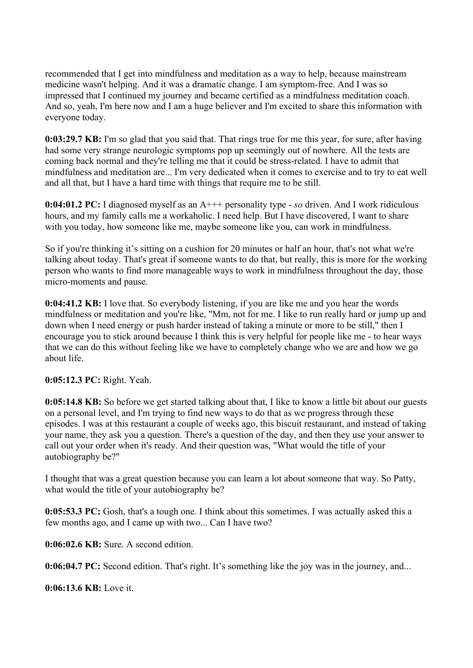recommended that I get into mindfulness and meditation as a way to help, because mainstream medicine wasn't helping. And it was a dramatic change. I am symptom-free. And I was so impressed that I continued my journey and became certified as a mindfulness meditation coach. And so, yeah, I'm here now and I am a huge believer and I'm excited to share this information with everyone today.

**0:03:29.7 KB:** I'm so glad that you said that. That rings true for me this year, for sure, after having had some very strange neurologic symptoms pop up seemingly out of nowhere. All the tests are coming back normal and they're telling me that it could be stress-related. I have to admit that mindfulness and meditation are... I'm very dedicated when it comes to exercise and to try to eat well and all that, but I have a hard time with things that require me to be still.

**0:04:01.2 PC:** I diagnosed myself as an A+++ personality type - *so* driven. And I work ridiculous hours, and my family calls me a workaholic. I need help. But I have discovered, I want to share with you today, how someone like me, maybe someone like you, can work in mindfulness.

So if you're thinking it's sitting on a cushion for 20 minutes or half an hour, that's not what we're talking about today. That's great if someone wants to do that, but really, this is more for the working person who wants to find more manageable ways to work in mindfulness throughout the day, those micro-moments and pause.

**0:04:41.2 KB:** I love that. So everybody listening, if you are like me and you hear the words mindfulness or meditation and you're like, "Mm, not for me. I like to run really hard or jump up and down when I need energy or push harder instead of taking a minute or more to be still," then I encourage you to stick around because I think this is very helpful for people like me - to hear ways that we can do this without feeling like we have to completely change who we are and how we go about life.

**0:05:12.3 PC:** Right. Yeah.

**0:05:14.8 KB:** So before we get started talking about that, I like to know a little bit about our guests on a personal level, and I'm trying to find new ways to do that as we progress through these episodes. I was at this restaurant a couple of weeks ago, this biscuit restaurant, and instead of taking your name, they ask you a question. There's a question of the day, and then they use your answer to call out your order when it's ready. And their question was, "What would the title of your autobiography be?"

I thought that was a great question because you can learn a lot about someone that way. So Patty, what would the title of your autobiography be?

**0:05:53.3 PC:** Gosh, that's a tough one. I think about this sometimes. I was actually asked this a few months ago, and I came up with two... Can I have two?

**0:06:02.6 KB:** Sure. A second edition.

**0:06:04.7 PC:** Second edition. That's right. It's something like the joy was in the journey, and...

**0:06:13.6 KB:** Love it.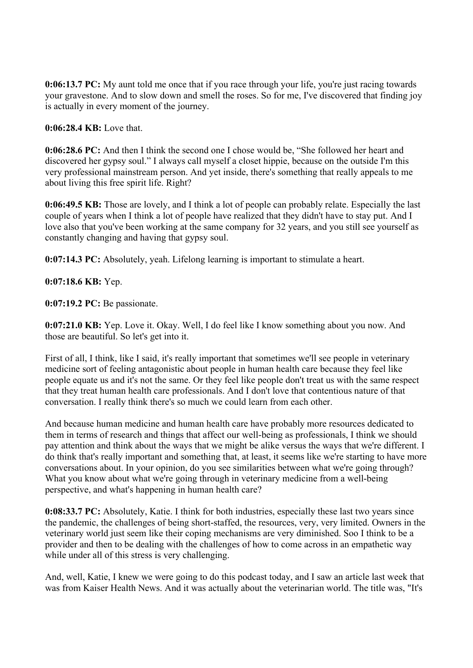**0:06:13.7 PC:** My aunt told me once that if you race through your life, you're just racing towards your gravestone. And to slow down and smell the roses. So for me, I've discovered that finding joy is actually in every moment of the journey.

**0:06:28.4 KB:** Love that.

**0:06:28.6 PC:** And then I think the second one I chose would be, "She followed her heart and discovered her gypsy soul." I always call myself a closet hippie, because on the outside I'm this very professional mainstream person. And yet inside, there's something that really appeals to me about living this free spirit life. Right?

**0:06:49.5 KB:** Those are lovely, and I think a lot of people can probably relate. Especially the last couple of years when I think a lot of people have realized that they didn't have to stay put. And I love also that you've been working at the same company for 32 years, and you still see yourself as constantly changing and having that gypsy soul.

**0:07:14.3 PC:** Absolutely, yeah. Lifelong learning is important to stimulate a heart.

**0:07:18.6 KB:** Yep.

**0:07:19.2 PC:** Be passionate.

**0:07:21.0 KB:** Yep. Love it. Okay. Well, I do feel like I know something about you now. And those are beautiful. So let's get into it.

First of all, I think, like I said, it's really important that sometimes we'll see people in veterinary medicine sort of feeling antagonistic about people in human health care because they feel like people equate us and it's not the same. Or they feel like people don't treat us with the same respect that they treat human health care professionals. And I don't love that contentious nature of that conversation. I really think there's so much we could learn from each other.

And because human medicine and human health care have probably more resources dedicated to them in terms of research and things that affect our well-being as professionals, I think we should pay attention and think about the ways that we might be alike versus the ways that we're different. I do think that's really important and something that, at least, it seems like we're starting to have more conversations about. In your opinion, do you see similarities between what we're going through? What you know about what we're going through in veterinary medicine from a well-being perspective, and what's happening in human health care?

**0:08:33.7 PC:** Absolutely, Katie. I think for both industries, especially these last two years since the pandemic, the challenges of being short-staffed, the resources, very, very limited. Owners in the veterinary world just seem like their coping mechanisms are very diminished. Soo I think to be a provider and then to be dealing with the challenges of how to come across in an empathetic way while under all of this stress is very challenging.

And, well, Katie, I knew we were going to do this podcast today, and I saw an article last week that was from Kaiser Health News. And it was actually about the veterinarian world. The title was, "It's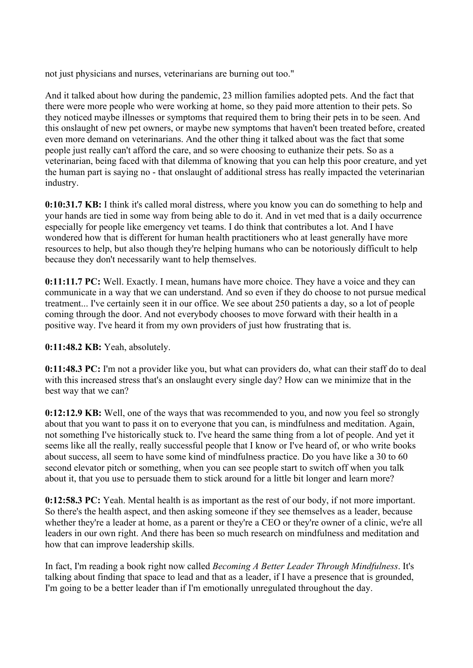not just physicians and nurses, veterinarians are burning out too."

And it talked about how during the pandemic, 23 million families adopted pets. And the fact that there were more people who were working at home, so they paid more attention to their pets. So they noticed maybe illnesses or symptoms that required them to bring their pets in to be seen. And this onslaught of new pet owners, or maybe new symptoms that haven't been treated before, created even more demand on veterinarians. And the other thing it talked about was the fact that some people just really can't afford the care, and so were choosing to euthanize their pets. So as a veterinarian, being faced with that dilemma of knowing that you can help this poor creature, and yet the human part is saying no - that onslaught of additional stress has really impacted the veterinarian industry.

**0:10:31.7 KB:** I think it's called moral distress, where you know you can do something to help and your hands are tied in some way from being able to do it. And in vet med that is a daily occurrence especially for people like emergency vet teams. I do think that contributes a lot. And I have wondered how that is different for human health practitioners who at least generally have more resources to help, but also though they're helping humans who can be notoriously difficult to help because they don't necessarily want to help themselves.

**0:11:11.7 PC:** Well. Exactly. I mean, humans have more choice. They have a voice and they can communicate in a way that we can understand. And so even if they do choose to not pursue medical treatment... I've certainly seen it in our office. We see about 250 patients a day, so a lot of people coming through the door. And not everybody chooses to move forward with their health in a positive way. I've heard it from my own providers of just how frustrating that is.

**0:11:48.2 KB:** Yeah, absolutely.

**0:11:48.3 PC:** I'm not a provider like you, but what can providers do, what can their staff do to deal with this increased stress that's an onslaught every single day? How can we minimize that in the best way that we can?

**0:12:12.9 KB:** Well, one of the ways that was recommended to you, and now you feel so strongly about that you want to pass it on to everyone that you can, is mindfulness and meditation. Again, not something I've historically stuck to. I've heard the same thing from a lot of people. And yet it seems like all the really, really successful people that I know or I've heard of, or who write books about success, all seem to have some kind of mindfulness practice. Do you have like a 30 to 60 second elevator pitch or something, when you can see people start to switch off when you talk about it, that you use to persuade them to stick around for a little bit longer and learn more?

**0:12:58.3 PC:** Yeah. Mental health is as important as the rest of our body, if not more important. So there's the health aspect, and then asking someone if they see themselves as a leader, because whether they're a leader at home, as a parent or they're a CEO or they're owner of a clinic, we're all leaders in our own right. And there has been so much research on mindfulness and meditation and how that can improve leadership skills.

In fact, I'm reading a book right now called *Becoming A Better Leader Through Mindfulness*. It's talking about finding that space to lead and that as a leader, if I have a presence that is grounded, I'm going to be a better leader than if I'm emotionally unregulated throughout the day.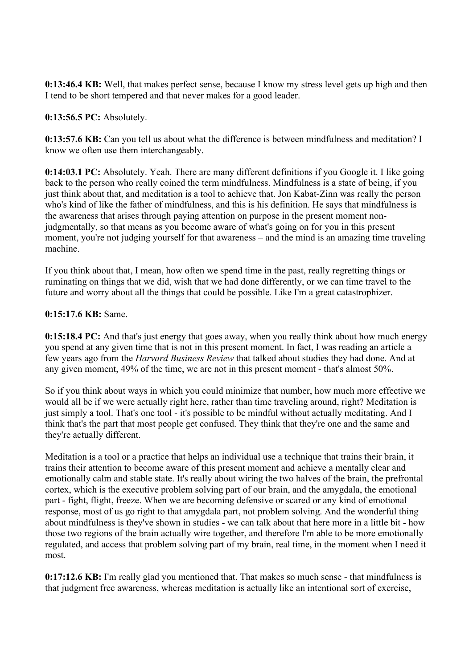**0:13:46.4 KB:** Well, that makes perfect sense, because I know my stress level gets up high and then I tend to be short tempered and that never makes for a good leader.

**0:13:56.5 PC:** Absolutely.

**0:13:57.6 KB:** Can you tell us about what the difference is between mindfulness and meditation? I know we often use them interchangeably.

**0:14:03.1 PC:** Absolutely. Yeah. There are many different definitions if you Google it. I like going back to the person who really coined the term mindfulness. Mindfulness is a state of being, if you just think about that, and meditation is a tool to achieve that. Jon Kabat-Zinn was really the person who's kind of like the father of mindfulness, and this is his definition. He says that mindfulness is the awareness that arises through paying attention on purpose in the present moment nonjudgmentally, so that means as you become aware of what's going on for you in this present moment, you're not judging yourself for that awareness – and the mind is an amazing time traveling machine.

If you think about that, I mean, how often we spend time in the past, really regretting things or ruminating on things that we did, wish that we had done differently, or we can time travel to the future and worry about all the things that could be possible. Like I'm a great catastrophizer.

### **0:15:17.6 KB:** Same.

**0:15:18.4 PC:** And that's just energy that goes away, when you really think about how much energy you spend at any given time that is not in this present moment. In fact, I was reading an article a few years ago from the *Harvard Business Review* that talked about studies they had done. And at any given moment, 49% of the time, we are not in this present moment - that's almost 50%.

So if you think about ways in which you could minimize that number, how much more effective we would all be if we were actually right here, rather than time traveling around, right? Meditation is just simply a tool. That's one tool - it's possible to be mindful without actually meditating. And I think that's the part that most people get confused. They think that they're one and the same and they're actually different.

Meditation is a tool or a practice that helps an individual use a technique that trains their brain, it trains their attention to become aware of this present moment and achieve a mentally clear and emotionally calm and stable state. It's really about wiring the two halves of the brain, the prefrontal cortex, which is the executive problem solving part of our brain, and the amygdala, the emotional part - fight, flight, freeze. When we are becoming defensive or scared or any kind of emotional response, most of us go right to that amygdala part, not problem solving. And the wonderful thing about mindfulness is they've shown in studies - we can talk about that here more in a little bit - how those two regions of the brain actually wire together, and therefore I'm able to be more emotionally regulated, and access that problem solving part of my brain, real time, in the moment when I need it most.

**0:17:12.6 KB:** I'm really glad you mentioned that. That makes so much sense - that mindfulness is that judgment free awareness, whereas meditation is actually like an intentional sort of exercise,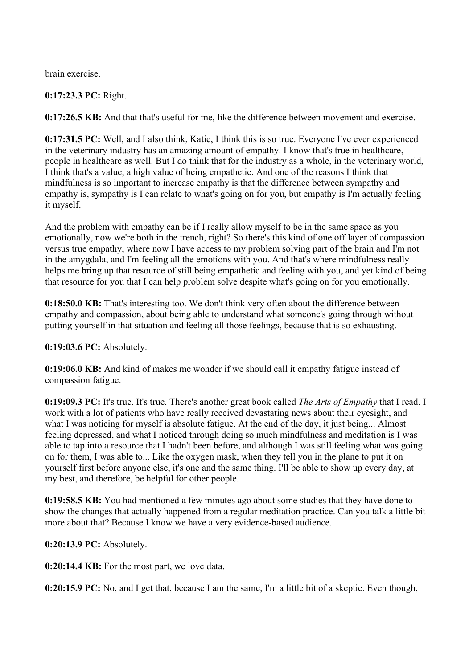brain exercise.

# **0:17:23.3 PC:** Right.

**0:17:26.5 KB:** And that that's useful for me, like the difference between movement and exercise.

**0:17:31.5 PC:** Well, and I also think, Katie, I think this is so true. Everyone I've ever experienced in the veterinary industry has an amazing amount of empathy. I know that's true in healthcare, people in healthcare as well. But I do think that for the industry as a whole, in the veterinary world, I think that's a value, a high value of being empathetic. And one of the reasons I think that mindfulness is so important to increase empathy is that the difference between sympathy and empathy is, sympathy is I can relate to what's going on for you, but empathy is I'm actually feeling it myself.

And the problem with empathy can be if I really allow myself to be in the same space as you emotionally, now we're both in the trench, right? So there's this kind of one off layer of compassion versus true empathy, where now I have access to my problem solving part of the brain and I'm not in the amygdala, and I'm feeling all the emotions with you. And that's where mindfulness really helps me bring up that resource of still being empathetic and feeling with you, and yet kind of being that resource for you that I can help problem solve despite what's going on for you emotionally.

**0:18:50.0 KB:** That's interesting too. We don't think very often about the difference between empathy and compassion, about being able to understand what someone's going through without putting yourself in that situation and feeling all those feelings, because that is so exhausting.

# **0:19:03.6 PC:** Absolutely.

**0:19:06.0 KB:** And kind of makes me wonder if we should call it empathy fatigue instead of compassion fatigue.

**0:19:09.3 PC:** It's true. It's true. There's another great book called *The Arts of Empathy* that I read. I work with a lot of patients who have really received devastating news about their eyesight, and what I was noticing for myself is absolute fatigue. At the end of the day, it just being... Almost feeling depressed, and what I noticed through doing so much mindfulness and meditation is I was able to tap into a resource that I hadn't been before, and although I was still feeling what was going on for them, I was able to... Like the oxygen mask, when they tell you in the plane to put it on yourself first before anyone else, it's one and the same thing. I'll be able to show up every day, at my best, and therefore, be helpful for other people.

**0:19:58.5 KB:** You had mentioned a few minutes ago about some studies that they have done to show the changes that actually happened from a regular meditation practice. Can you talk a little bit more about that? Because I know we have a very evidence-based audience.

**0:20:13.9 PC:** Absolutely.

**0:20:14.4 KB:** For the most part, we love data.

**0:20:15.9 PC:** No, and I get that, because I am the same, I'm a little bit of a skeptic. Even though,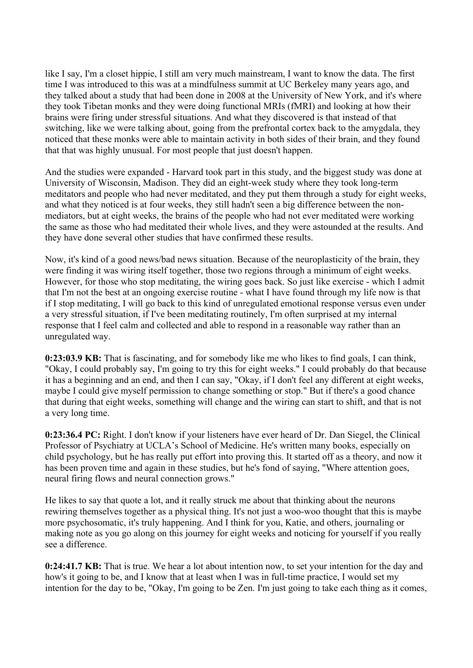like I say, I'm a closet hippie, I still am very much mainstream, I want to know the data. The first time I was introduced to this was at a mindfulness summit at UC Berkeley many years ago, and they talked about a study that had been done in 2008 at the University of New York, and it's where they took Tibetan monks and they were doing functional MRIs (fMRI) and looking at how their brains were firing under stressful situations. And what they discovered is that instead of that switching, like we were talking about, going from the prefrontal cortex back to the amygdala, they noticed that these monks were able to maintain activity in both sides of their brain, and they found that that was highly unusual. For most people that just doesn't happen.

And the studies were expanded - Harvard took part in this study, and the biggest study was done at University of Wisconsin, Madison. They did an eight-week study where they took long-term meditators and people who had never meditated, and they put them through a study for eight weeks, and what they noticed is at four weeks, they still hadn't seen a big difference between the nonmediators, but at eight weeks, the brains of the people who had not ever meditated were working the same as those who had meditated their whole lives, and they were astounded at the results. And they have done several other studies that have confirmed these results.

Now, it's kind of a good news/bad news situation. Because of the neuroplasticity of the brain, they were finding it was wiring itself together, those two regions through a minimum of eight weeks. However, for those who stop meditating, the wiring goes back. So just like exercise - which I admit that I'm not the best at an ongoing exercise routine - what I have found through my life now is that if I stop meditating, I will go back to this kind of unregulated emotional response versus even under a very stressful situation, if I've been meditating routinely, I'm often surprised at my internal response that I feel calm and collected and able to respond in a reasonable way rather than an unregulated way.

**0:23:03.9 KB:** That is fascinating, and for somebody like me who likes to find goals, I can think, "Okay, I could probably say, I'm going to try this for eight weeks." I could probably do that because it has a beginning and an end, and then I can say, "Okay, if I don't feel any different at eight weeks, maybe I could give myself permission to change something or stop." But if there's a good chance that during that eight weeks, something will change and the wiring can start to shift, and that is not a very long time.

**0:23:36.4 PC:** Right. I don't know if your listeners have ever heard of Dr. Dan Siegel, the Clinical Professor of Psychiatry at UCLA's School of Medicine. He's written many books, especially on child psychology, but he has really put effort into proving this. It started off as a theory, and now it has been proven time and again in these studies, but he's fond of saying, "Where attention goes, neural firing flows and neural connection grows."

He likes to say that quote a lot, and it really struck me about that thinking about the neurons rewiring themselves together as a physical thing. It's not just a woo-woo thought that this is maybe more psychosomatic, it's truly happening. And I think for you, Katie, and others, journaling or making note as you go along on this journey for eight weeks and noticing for yourself if you really see a difference.

**0:24:41.7 KB:** That is true. We hear a lot about intention now, to set your intention for the day and how's it going to be, and I know that at least when I was in full-time practice, I would set my intention for the day to be, "Okay, I'm going to be Zen. I'm just going to take each thing as it comes,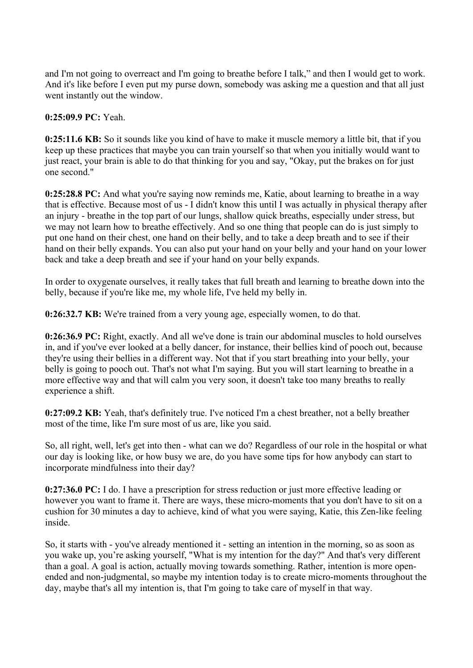and I'm not going to overreact and I'm going to breathe before I talk," and then I would get to work. And it's like before I even put my purse down, somebody was asking me a question and that all just went instantly out the window.

### **0:25:09.9 PC:** Yeah.

**0:25:11.6 KB:** So it sounds like you kind of have to make it muscle memory a little bit, that if you keep up these practices that maybe you can train yourself so that when you initially would want to just react, your brain is able to do that thinking for you and say, "Okay, put the brakes on for just one second."

**0:25:28.8 PC:** And what you're saying now reminds me, Katie, about learning to breathe in a way that is effective. Because most of us - I didn't know this until I was actually in physical therapy after an injury - breathe in the top part of our lungs, shallow quick breaths, especially under stress, but we may not learn how to breathe effectively. And so one thing that people can do is just simply to put one hand on their chest, one hand on their belly, and to take a deep breath and to see if their hand on their belly expands. You can also put your hand on your belly and your hand on your lower back and take a deep breath and see if your hand on your belly expands.

In order to oxygenate ourselves, it really takes that full breath and learning to breathe down into the belly, because if you're like me, my whole life, I've held my belly in.

**0:26:32.7 KB:** We're trained from a very young age, especially women, to do that.

**0:26:36.9 PC:** Right, exactly. And all we've done is train our abdominal muscles to hold ourselves in, and if you've ever looked at a belly dancer, for instance, their bellies kind of pooch out, because they're using their bellies in a different way. Not that if you start breathing into your belly, your belly is going to pooch out. That's not what I'm saying. But you will start learning to breathe in a more effective way and that will calm you very soon, it doesn't take too many breaths to really experience a shift.

**0:27:09.2 KB:** Yeah, that's definitely true. I've noticed I'm a chest breather, not a belly breather most of the time, like I'm sure most of us are, like you said.

So, all right, well, let's get into then - what can we do? Regardless of our role in the hospital or what our day is looking like, or how busy we are, do you have some tips for how anybody can start to incorporate mindfulness into their day?

**0:27:36.0 PC:** I do. I have a prescription for stress reduction or just more effective leading or however you want to frame it. There are ways, these micro-moments that you don't have to sit on a cushion for 30 minutes a day to achieve, kind of what you were saying, Katie, this Zen-like feeling inside.

So, it starts with - you've already mentioned it - setting an intention in the morning, so as soon as you wake up, you're asking yourself, "What is my intention for the day?" And that's very different than a goal. A goal is action, actually moving towards something. Rather, intention is more openended and non-judgmental, so maybe my intention today is to create micro-moments throughout the day, maybe that's all my intention is, that I'm going to take care of myself in that way.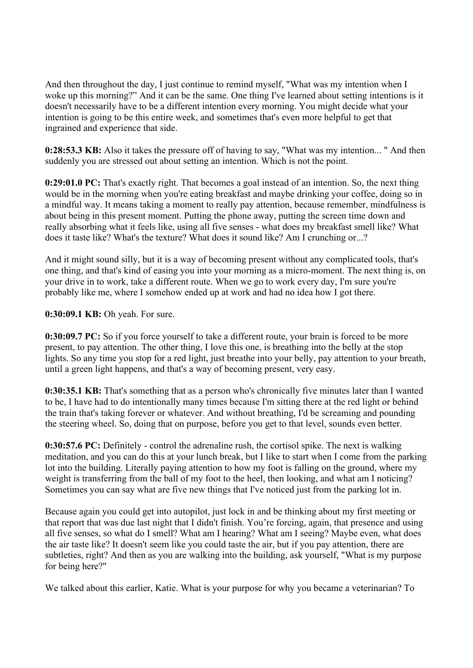And then throughout the day, I just continue to remind myself, "What was my intention when I woke up this morning?" And it can be the same. One thing I've learned about setting intentions is it doesn't necessarily have to be a different intention every morning. You might decide what your intention is going to be this entire week, and sometimes that's even more helpful to get that ingrained and experience that side.

**0:28:53.3 KB:** Also it takes the pressure off of having to say, "What was my intention... " And then suddenly you are stressed out about setting an intention. Which is not the point.

**0:29:01.0 PC:** That's exactly right. That becomes a goal instead of an intention. So, the next thing would be in the morning when you're eating breakfast and maybe drinking your coffee, doing so in a mindful way. It means taking a moment to really pay attention, because remember, mindfulness is about being in this present moment. Putting the phone away, putting the screen time down and really absorbing what it feels like, using all five senses - what does my breakfast smell like? What does it taste like? What's the texture? What does it sound like? Am I crunching or...?

And it might sound silly, but it is a way of becoming present without any complicated tools, that's one thing, and that's kind of easing you into your morning as a micro-moment. The next thing is, on your drive in to work, take a different route. When we go to work every day, I'm sure you're probably like me, where I somehow ended up at work and had no idea how I got there.

**0:30:09.1 KB:** Oh yeah. For sure.

**0:30:09.7 PC:** So if you force yourself to take a different route, your brain is forced to be more present, to pay attention. The other thing, I love this one, is breathing into the belly at the stop lights. So any time you stop for a red light, just breathe into your belly, pay attention to your breath, until a green light happens, and that's a way of becoming present, very easy.

**0:30:35.1 KB:** That's something that as a person who's chronically five minutes later than I wanted to be, I have had to do intentionally many times because I'm sitting there at the red light or behind the train that's taking forever or whatever. And without breathing, I'd be screaming and pounding the steering wheel. So, doing that on purpose, before you get to that level, sounds even better.

**0:30:57.6 PC:** Definitely - control the adrenaline rush, the cortisol spike. The next is walking meditation, and you can do this at your lunch break, but I like to start when I come from the parking lot into the building. Literally paying attention to how my foot is falling on the ground, where my weight is transferring from the ball of my foot to the heel, then looking, and what am I noticing? Sometimes you can say what are five new things that I've noticed just from the parking lot in.

Because again you could get into autopilot, just lock in and be thinking about my first meeting or that report that was due last night that I didn't finish. You're forcing, again, that presence and using all five senses, so what do I smell? What am I hearing? What am I seeing? Maybe even, what does the air taste like? It doesn't seem like you could taste the air, but if you pay attention, there are subtleties, right? And then as you are walking into the building, ask yourself, "What is my purpose for being here?"

We talked about this earlier, Katie. What is your purpose for why you became a veterinarian? To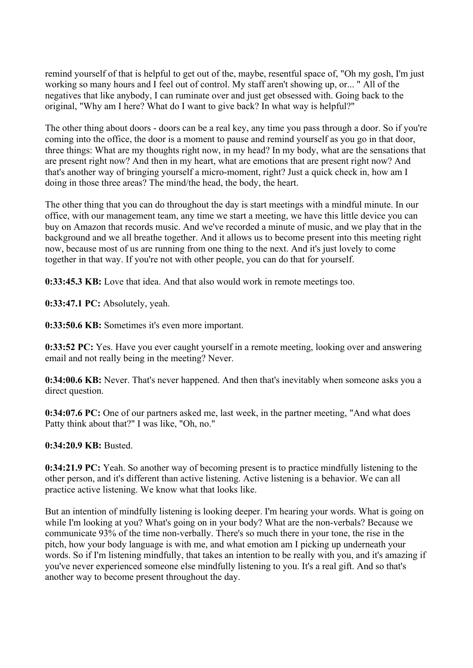remind yourself of that is helpful to get out of the, maybe, resentful space of, "Oh my gosh, I'm just working so many hours and I feel out of control. My staff aren't showing up, or... " All of the negatives that like anybody, I can ruminate over and just get obsessed with. Going back to the original, "Why am I here? What do I want to give back? In what way is helpful?"

The other thing about doors - doors can be a real key, any time you pass through a door. So if you're coming into the office, the door is a moment to pause and remind yourself as you go in that door, three things: What are my thoughts right now, in my head? In my body, what are the sensations that are present right now? And then in my heart, what are emotions that are present right now? And that's another way of bringing yourself a micro-moment, right? Just a quick check in, how am I doing in those three areas? The mind/the head, the body, the heart.

The other thing that you can do throughout the day is start meetings with a mindful minute. In our office, with our management team, any time we start a meeting, we have this little device you can buy on Amazon that records music. And we've recorded a minute of music, and we play that in the background and we all breathe together. And it allows us to become present into this meeting right now, because most of us are running from one thing to the next. And it's just lovely to come together in that way. If you're not with other people, you can do that for yourself.

**0:33:45.3 KB:** Love that idea. And that also would work in remote meetings too.

**0:33:47.1 PC:** Absolutely, yeah.

**0:33:50.6 KB:** Sometimes it's even more important.

**0:33:52 PC:** Yes. Have you ever caught yourself in a remote meeting, looking over and answering email and not really being in the meeting? Never.

**0:34:00.6 KB:** Never. That's never happened. And then that's inevitably when someone asks you a direct question.

**0:34:07.6 PC:** One of our partners asked me, last week, in the partner meeting, "And what does Patty think about that?" I was like, "Oh, no."

**0:34:20.9 KB:** Busted.

**0:34:21.9 PC:** Yeah. So another way of becoming present is to practice mindfully listening to the other person, and it's different than active listening. Active listening is a behavior. We can all practice active listening. We know what that looks like.

But an intention of mindfully listening is looking deeper. I'm hearing your words. What is going on while I'm looking at you? What's going on in your body? What are the non-verbals? Because we communicate 93% of the time non-verbally. There's so much there in your tone, the rise in the pitch, how your body language is with me, and what emotion am I picking up underneath your words. So if I'm listening mindfully, that takes an intention to be really with you, and it's amazing if you've never experienced someone else mindfully listening to you. It's a real gift. And so that's another way to become present throughout the day.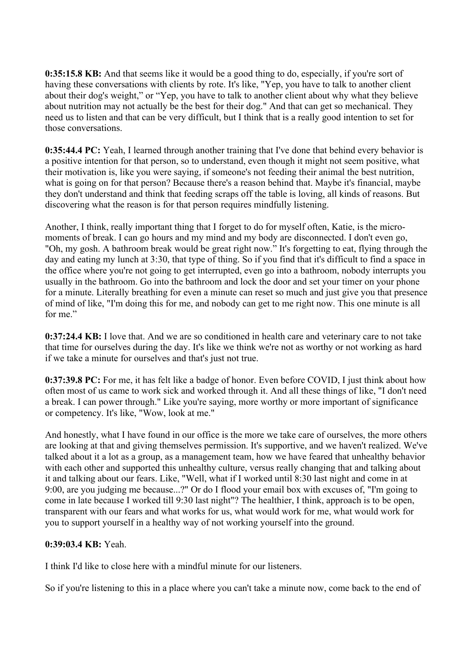**0:35:15.8 KB:** And that seems like it would be a good thing to do, especially, if you're sort of having these conversations with clients by rote. It's like, "Yep, you have to talk to another client about their dog's weight," or "Yep, you have to talk to another client about why what they believe about nutrition may not actually be the best for their dog." And that can get so mechanical. They need us to listen and that can be very difficult, but I think that is a really good intention to set for those conversations.

**0:35:44.4 PC:** Yeah, I learned through another training that I've done that behind every behavior is a positive intention for that person, so to understand, even though it might not seem positive, what their motivation is, like you were saying, if someone's not feeding their animal the best nutrition, what is going on for that person? Because there's a reason behind that. Maybe it's financial, maybe they don't understand and think that feeding scraps off the table is loving, all kinds of reasons. But discovering what the reason is for that person requires mindfully listening.

Another, I think, really important thing that I forget to do for myself often, Katie, is the micromoments of break. I can go hours and my mind and my body are disconnected. I don't even go, "Oh, my gosh. A bathroom break would be great right now." It's forgetting to eat, flying through the day and eating my lunch at 3:30, that type of thing. So if you find that it's difficult to find a space in the office where you're not going to get interrupted, even go into a bathroom, nobody interrupts you usually in the bathroom. Go into the bathroom and lock the door and set your timer on your phone for a minute. Literally breathing for even a minute can reset so much and just give you that presence of mind of like, "I'm doing this for me, and nobody can get to me right now. This one minute is all for me."

**0:37:24.4 KB:** I love that. And we are so conditioned in health care and veterinary care to not take that time for ourselves during the day. It's like we think we're not as worthy or not working as hard if we take a minute for ourselves and that's just not true.

**0:37:39.8 PC:** For me, it has felt like a badge of honor. Even before COVID, I just think about how often most of us came to work sick and worked through it. And all these things of like, "I don't need a break. I can power through." Like you're saying, more worthy or more important of significance or competency. It's like, "Wow, look at me."

And honestly, what I have found in our office is the more we take care of ourselves, the more others are looking at that and giving themselves permission. It's supportive, and we haven't realized. We've talked about it a lot as a group, as a management team, how we have feared that unhealthy behavior with each other and supported this unhealthy culture, versus really changing that and talking about it and talking about our fears. Like, "Well, what if I worked until 8:30 last night and come in at 9:00, are you judging me because...?" Or do I flood your email box with excuses of, "I'm going to come in late because I worked till 9:30 last night"? The healthier, I think, approach is to be open, transparent with our fears and what works for us, what would work for me, what would work for you to support yourself in a healthy way of not working yourself into the ground.

# **0:39:03.4 KB:** Yeah.

I think I'd like to close here with a mindful minute for our listeners.

So if you're listening to this in a place where you can't take a minute now, come back to the end of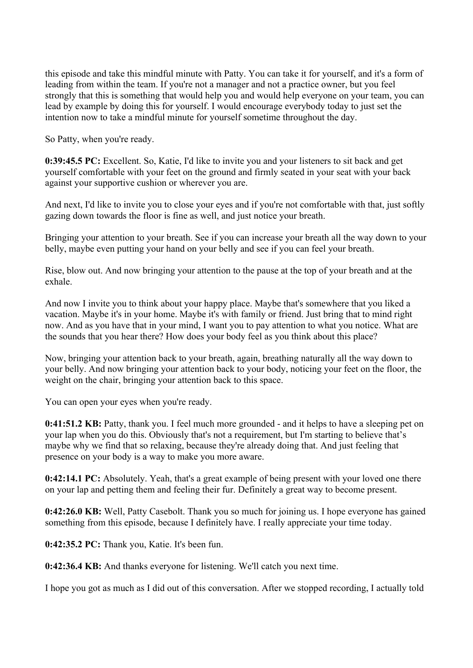this episode and take this mindful minute with Patty. You can take it for yourself, and it's a form of leading from within the team. If you're not a manager and not a practice owner, but you feel strongly that this is something that would help you and would help everyone on your team, you can lead by example by doing this for yourself. I would encourage everybody today to just set the intention now to take a mindful minute for yourself sometime throughout the day.

So Patty, when you're ready.

**0:39:45.5 PC:** Excellent. So, Katie, I'd like to invite you and your listeners to sit back and get yourself comfortable with your feet on the ground and firmly seated in your seat with your back against your supportive cushion or wherever you are.

And next, I'd like to invite you to close your eyes and if you're not comfortable with that, just softly gazing down towards the floor is fine as well, and just notice your breath.

Bringing your attention to your breath. See if you can increase your breath all the way down to your belly, maybe even putting your hand on your belly and see if you can feel your breath.

Rise, blow out. And now bringing your attention to the pause at the top of your breath and at the exhale.

And now I invite you to think about your happy place. Maybe that's somewhere that you liked a vacation. Maybe it's in your home. Maybe it's with family or friend. Just bring that to mind right now. And as you have that in your mind, I want you to pay attention to what you notice. What are the sounds that you hear there? How does your body feel as you think about this place?

Now, bringing your attention back to your breath, again, breathing naturally all the way down to your belly. And now bringing your attention back to your body, noticing your feet on the floor, the weight on the chair, bringing your attention back to this space.

You can open your eyes when you're ready.

**0:41:51.2 KB:** Patty, thank you. I feel much more grounded - and it helps to have a sleeping pet on your lap when you do this. Obviously that's not a requirement, but I'm starting to believe that's maybe why we find that so relaxing, because they're already doing that. And just feeling that presence on your body is a way to make you more aware.

**0:42:14.1 PC:** Absolutely. Yeah, that's a great example of being present with your loved one there on your lap and petting them and feeling their fur. Definitely a great way to become present.

**0:42:26.0 KB:** Well, Patty Casebolt. Thank you so much for joining us. I hope everyone has gained something from this episode, because I definitely have. I really appreciate your time today.

**0:42:35.2 PC:** Thank you, Katie. It's been fun.

**0:42:36.4 KB:** And thanks everyone for listening. We'll catch you next time.

I hope you got as much as I did out of this conversation. After we stopped recording, I actually told